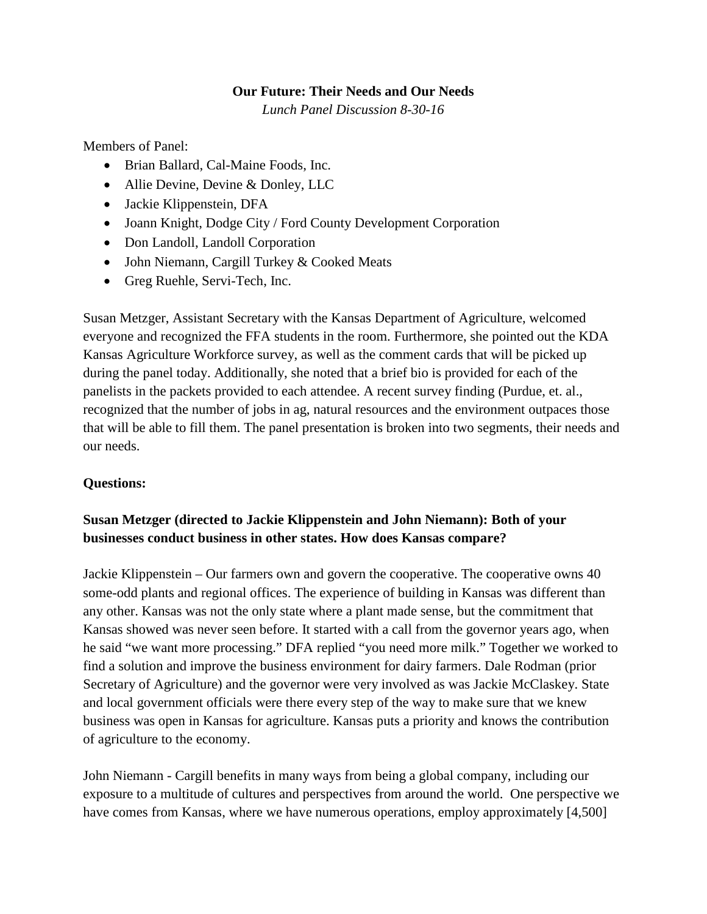#### **Our Future: Their Needs and Our Needs**

*Lunch Panel Discussion 8-30-16*

Members of Panel:

- Brian Ballard, Cal-Maine Foods, Inc.
- Allie Devine, Devine & Donley, LLC
- Jackie Klippenstein, DFA
- Joann Knight, Dodge City / Ford County Development Corporation
- Don Landoll, Landoll Corporation
- John Niemann, Cargill Turkey & Cooked Meats
- Greg Ruehle, Servi-Tech, Inc.

Susan Metzger, Assistant Secretary with the Kansas Department of Agriculture, welcomed everyone and recognized the FFA students in the room. Furthermore, she pointed out the KDA Kansas Agriculture Workforce survey, as well as the comment cards that will be picked up during the panel today. Additionally, she noted that a brief bio is provided for each of the panelists in the packets provided to each attendee. A recent survey finding (Purdue, et. al., recognized that the number of jobs in ag, natural resources and the environment outpaces those that will be able to fill them. The panel presentation is broken into two segments, their needs and our needs.

#### **Questions:**

### **Susan Metzger (directed to Jackie Klippenstein and John Niemann): Both of your businesses conduct business in other states. How does Kansas compare?**

Jackie Klippenstein – Our farmers own and govern the cooperative. The cooperative owns 40 some-odd plants and regional offices. The experience of building in Kansas was different than any other. Kansas was not the only state where a plant made sense, but the commitment that Kansas showed was never seen before. It started with a call from the governor years ago, when he said "we want more processing." DFA replied "you need more milk." Together we worked to find a solution and improve the business environment for dairy farmers. Dale Rodman (prior Secretary of Agriculture) and the governor were very involved as was Jackie McClaskey. State and local government officials were there every step of the way to make sure that we knew business was open in Kansas for agriculture. Kansas puts a priority and knows the contribution of agriculture to the economy.

John Niemann - Cargill benefits in many ways from being a global company, including our exposure to a multitude of cultures and perspectives from around the world. One perspective we have comes from Kansas, where we have numerous operations, employ approximately [4,500]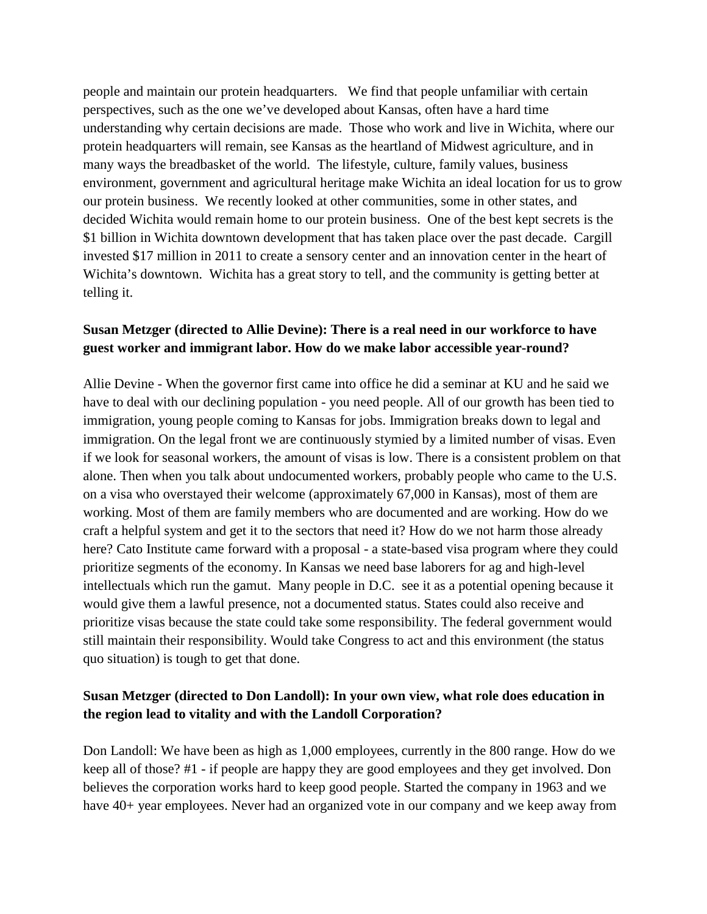people and maintain our protein headquarters. We find that people unfamiliar with certain perspectives, such as the one we've developed about Kansas, often have a hard time understanding why certain decisions are made. Those who work and live in Wichita, where our protein headquarters will remain, see Kansas as the heartland of Midwest agriculture, and in many ways the breadbasket of the world. The lifestyle, culture, family values, business environment, government and agricultural heritage make Wichita an ideal location for us to grow our protein business. We recently looked at other communities, some in other states, and decided Wichita would remain home to our protein business. One of the best kept secrets is the \$1 billion in Wichita downtown development that has taken place over the past decade. Cargill invested \$17 million in 2011 to create a sensory center and an innovation center in the heart of Wichita's downtown. Wichita has a great story to tell, and the community is getting better at telling it.

#### **Susan Metzger (directed to Allie Devine): There is a real need in our workforce to have guest worker and immigrant labor. How do we make labor accessible year-round?**

Allie Devine - When the governor first came into office he did a seminar at KU and he said we have to deal with our declining population - you need people. All of our growth has been tied to immigration, young people coming to Kansas for jobs. Immigration breaks down to legal and immigration. On the legal front we are continuously stymied by a limited number of visas. Even if we look for seasonal workers, the amount of visas is low. There is a consistent problem on that alone. Then when you talk about undocumented workers, probably people who came to the U.S. on a visa who overstayed their welcome (approximately 67,000 in Kansas), most of them are working. Most of them are family members who are documented and are working. How do we craft a helpful system and get it to the sectors that need it? How do we not harm those already here? Cato Institute came forward with a proposal - a state-based visa program where they could prioritize segments of the economy. In Kansas we need base laborers for ag and high-level intellectuals which run the gamut. Many people in D.C. see it as a potential opening because it would give them a lawful presence, not a documented status. States could also receive and prioritize visas because the state could take some responsibility. The federal government would still maintain their responsibility. Would take Congress to act and this environment (the status quo situation) is tough to get that done.

# **Susan Metzger (directed to Don Landoll): In your own view, what role does education in the region lead to vitality and with the Landoll Corporation?**

Don Landoll: We have been as high as 1,000 employees, currently in the 800 range. How do we keep all of those? #1 - if people are happy they are good employees and they get involved. Don believes the corporation works hard to keep good people. Started the company in 1963 and we have 40+ year employees. Never had an organized vote in our company and we keep away from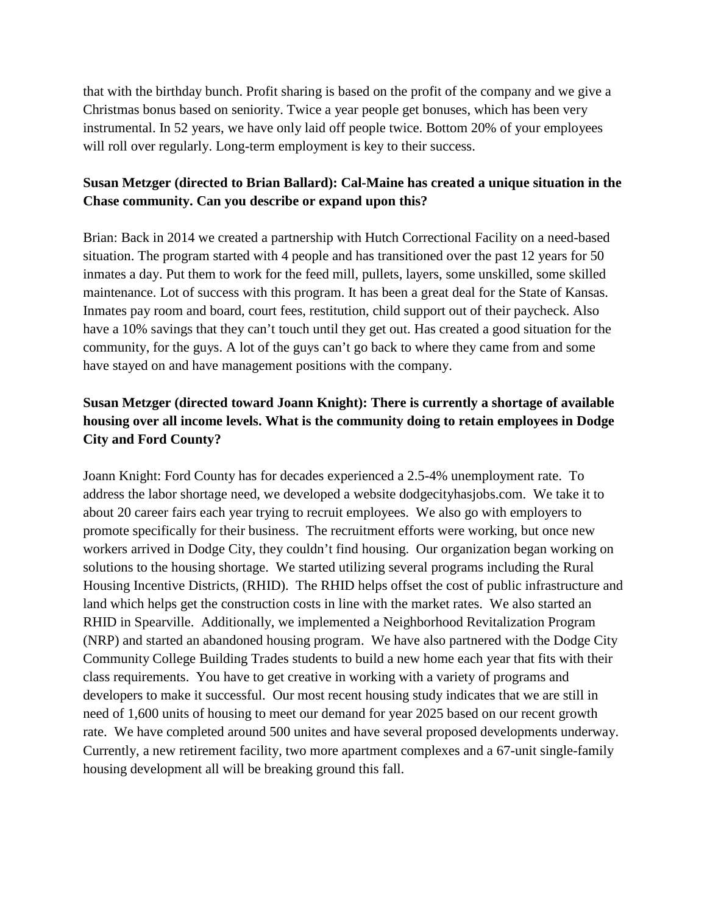that with the birthday bunch. Profit sharing is based on the profit of the company and we give a Christmas bonus based on seniority. Twice a year people get bonuses, which has been very instrumental. In 52 years, we have only laid off people twice. Bottom 20% of your employees will roll over regularly. Long-term employment is key to their success.

#### **Susan Metzger (directed to Brian Ballard): Cal-Maine has created a unique situation in the Chase community. Can you describe or expand upon this?**

Brian: Back in 2014 we created a partnership with Hutch Correctional Facility on a need-based situation. The program started with 4 people and has transitioned over the past 12 years for 50 inmates a day. Put them to work for the feed mill, pullets, layers, some unskilled, some skilled maintenance. Lot of success with this program. It has been a great deal for the State of Kansas. Inmates pay room and board, court fees, restitution, child support out of their paycheck. Also have a 10% savings that they can't touch until they get out. Has created a good situation for the community, for the guys. A lot of the guys can't go back to where they came from and some have stayed on and have management positions with the company.

# **Susan Metzger (directed toward Joann Knight): There is currently a shortage of available housing over all income levels. What is the community doing to retain employees in Dodge City and Ford County?**

Joann Knight: Ford County has for decades experienced a 2.5-4% unemployment rate. To address the labor shortage need, we developed a website dodgecityhasjobs.com. We take it to about 20 career fairs each year trying to recruit employees. We also go with employers to promote specifically for their business. The recruitment efforts were working, but once new workers arrived in Dodge City, they couldn't find housing. Our organization began working on solutions to the housing shortage. We started utilizing several programs including the Rural Housing Incentive Districts, (RHID). The RHID helps offset the cost of public infrastructure and land which helps get the construction costs in line with the market rates. We also started an RHID in Spearville. Additionally, we implemented a Neighborhood Revitalization Program (NRP) and started an abandoned housing program. We have also partnered with the Dodge City Community College Building Trades students to build a new home each year that fits with their class requirements. You have to get creative in working with a variety of programs and developers to make it successful. Our most recent housing study indicates that we are still in need of 1,600 units of housing to meet our demand for year 2025 based on our recent growth rate. We have completed around 500 unites and have several proposed developments underway. Currently, a new retirement facility, two more apartment complexes and a 67-unit single-family housing development all will be breaking ground this fall.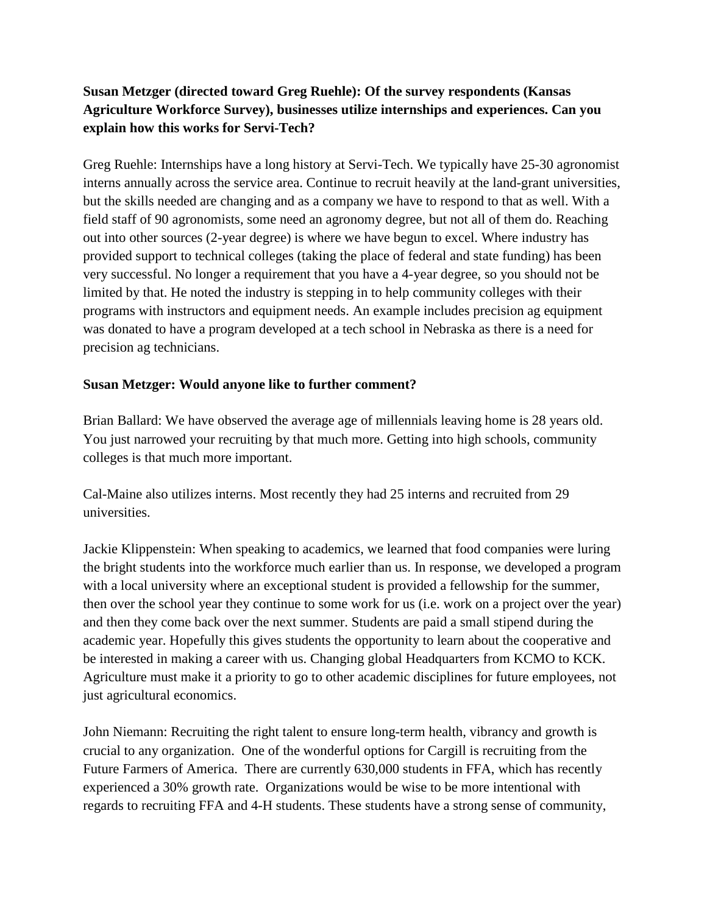## **Susan Metzger (directed toward Greg Ruehle): Of the survey respondents (Kansas Agriculture Workforce Survey), businesses utilize internships and experiences. Can you explain how this works for Servi-Tech?**

Greg Ruehle: Internships have a long history at Servi-Tech. We typically have 25-30 agronomist interns annually across the service area. Continue to recruit heavily at the land-grant universities, but the skills needed are changing and as a company we have to respond to that as well. With a field staff of 90 agronomists, some need an agronomy degree, but not all of them do. Reaching out into other sources (2-year degree) is where we have begun to excel. Where industry has provided support to technical colleges (taking the place of federal and state funding) has been very successful. No longer a requirement that you have a 4-year degree, so you should not be limited by that. He noted the industry is stepping in to help community colleges with their programs with instructors and equipment needs. An example includes precision ag equipment was donated to have a program developed at a tech school in Nebraska as there is a need for precision ag technicians.

#### **Susan Metzger: Would anyone like to further comment?**

Brian Ballard: We have observed the average age of millennials leaving home is 28 years old. You just narrowed your recruiting by that much more. Getting into high schools, community colleges is that much more important.

Cal-Maine also utilizes interns. Most recently they had 25 interns and recruited from 29 universities.

Jackie Klippenstein: When speaking to academics, we learned that food companies were luring the bright students into the workforce much earlier than us. In response, we developed a program with a local university where an exceptional student is provided a fellowship for the summer, then over the school year they continue to some work for us (i.e. work on a project over the year) and then they come back over the next summer. Students are paid a small stipend during the academic year. Hopefully this gives students the opportunity to learn about the cooperative and be interested in making a career with us. Changing global Headquarters from KCMO to KCK. Agriculture must make it a priority to go to other academic disciplines for future employees, not just agricultural economics.

John Niemann: Recruiting the right talent to ensure long-term health, vibrancy and growth is crucial to any organization. One of the wonderful options for Cargill is recruiting from the Future Farmers of America. There are currently 630,000 students in FFA, which has recently experienced a 30% growth rate. Organizations would be wise to be more intentional with regards to recruiting FFA and 4-H students. These students have a strong sense of community,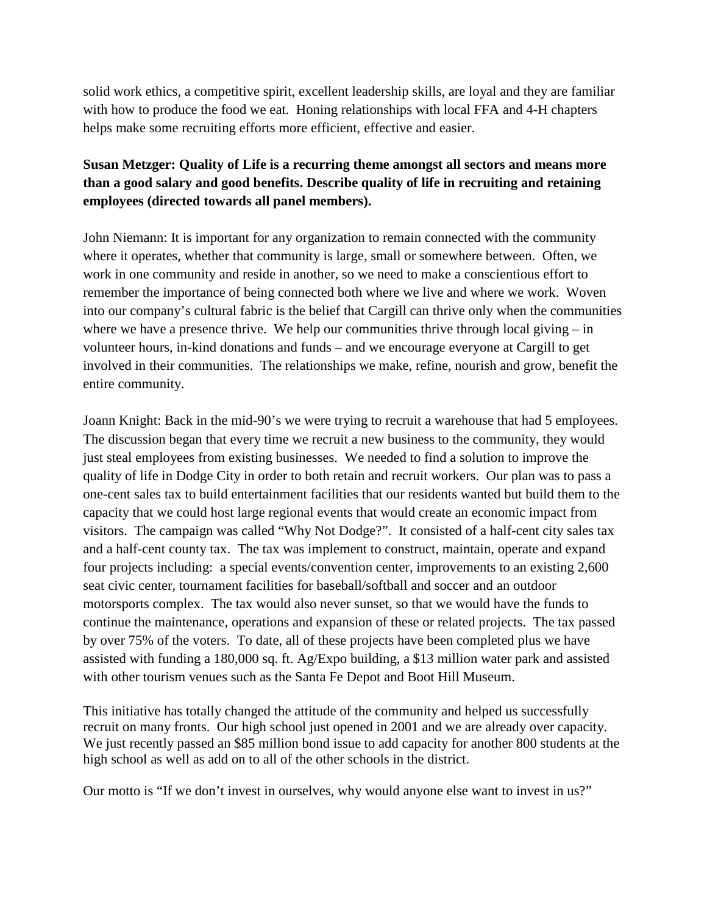solid work ethics, a competitive spirit, excellent leadership skills, are loyal and they are familiar with how to produce the food we eat. Honing relationships with local FFA and 4-H chapters helps make some recruiting efforts more efficient, effective and easier.

# **Susan Metzger: Quality of Life is a recurring theme amongst all sectors and means more than a good salary and good benefits. Describe quality of life in recruiting and retaining employees (directed towards all panel members).**

John Niemann: It is important for any organization to remain connected with the community where it operates, whether that community is large, small or somewhere between. Often, we work in one community and reside in another, so we need to make a conscientious effort to remember the importance of being connected both where we live and where we work. Woven into our company's cultural fabric is the belief that Cargill can thrive only when the communities where we have a presence thrive. We help our communities thrive through local giving – in volunteer hours, in-kind donations and funds – and we encourage everyone at Cargill to get involved in their communities. The relationships we make, refine, nourish and grow, benefit the entire community.

Joann Knight: Back in the mid-90's we were trying to recruit a warehouse that had 5 employees. The discussion began that every time we recruit a new business to the community, they would just steal employees from existing businesses. We needed to find a solution to improve the quality of life in Dodge City in order to both retain and recruit workers. Our plan was to pass a one-cent sales tax to build entertainment facilities that our residents wanted but build them to the capacity that we could host large regional events that would create an economic impact from visitors. The campaign was called "Why Not Dodge?". It consisted of a half-cent city sales tax and a half-cent county tax. The tax was implement to construct, maintain, operate and expand four projects including: a special events/convention center, improvements to an existing 2,600 seat civic center, tournament facilities for baseball/softball and soccer and an outdoor motorsports complex. The tax would also never sunset, so that we would have the funds to continue the maintenance, operations and expansion of these or related projects. The tax passed by over 75% of the voters. To date, all of these projects have been completed plus we have assisted with funding a 180,000 sq. ft. Ag/Expo building, a \$13 million water park and assisted with other tourism venues such as the Santa Fe Depot and Boot Hill Museum.

This initiative has totally changed the attitude of the community and helped us successfully recruit on many fronts. Our high school just opened in 2001 and we are already over capacity. We just recently passed an \$85 million bond issue to add capacity for another 800 students at the high school as well as add on to all of the other schools in the district.

Our motto is "If we don't invest in ourselves, why would anyone else want to invest in us?"